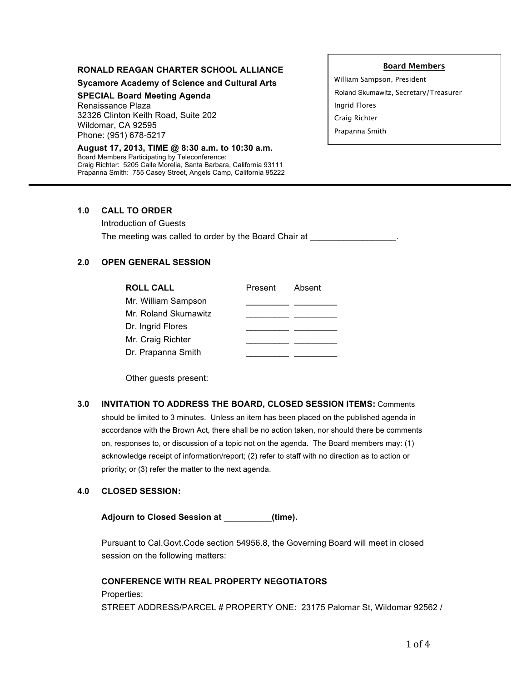### **RONALD REAGAN CHARTER SCHOOL ALLIANCE**

**Sycamore Academy of Science and Cultural Arts**

## **SPECIAL Board Meeting Agenda**

Renaissance Plaza 32326 Clinton Keith Road, Suite 202 Wildomar, CA 92595 Phone: (951) 678-5217

#### **August 17, 2013, TIME @ 8:30 a.m. to 10:30 a.m.** Board Members Participating by Teleconference: Craig Richter: 5205 Calle Morelia, Santa Barbara, California 93111 Prapanna Smith: 755 Casey Street, Angels Camp, California 95222

#### **Board Members**

William Sampson, President Roland Skumawitz, Secretary/Treasurer Ingrid Flores Craig Richter Prapanna Smith

## **1.0 CALL TO ORDER**

Introduction of Guests The meeting was called to order by the Board Chair at \_\_\_\_\_\_\_\_\_\_\_\_\_\_\_\_\_\_\_\_\_\_\_\_\_\_

# **2.0 OPEN GENERAL SESSION**

| <b>ROLL CALL</b>     | Present | Absent |
|----------------------|---------|--------|
| Mr. William Sampson  |         |        |
| Mr. Roland Skumawitz |         |        |
| Dr. Ingrid Flores    |         |        |
| Mr. Craig Richter    |         |        |
| Dr. Prapanna Smith   |         |        |

Other guests present:

### **3.0 INVITATION TO ADDRESS THE BOARD, CLOSED SESSION ITEMS:** Comments

should be limited to 3 minutes. Unless an item has been placed on the published agenda in accordance with the Brown Act, there shall be no action taken, nor should there be comments on, responses to, or discussion of a topic not on the agenda. The Board members may: (1) acknowledge receipt of information/report; (2) refer to staff with no direction as to action or priority; or (3) refer the matter to the next agenda.

### **4.0 CLOSED SESSION:**

**Adjourn to Closed Session at \_\_\_\_\_\_\_\_\_\_(time).**

Pursuant to Cal.Govt.Code section 54956.8, the Governing Board will meet in closed session on the following matters:

### **CONFERENCE WITH REAL PROPERTY NEGOTIATORS**

Properties: STREET ADDRESS/PARCEL # PROPERTY ONE: 23175 Palomar St, Wildomar 92562 /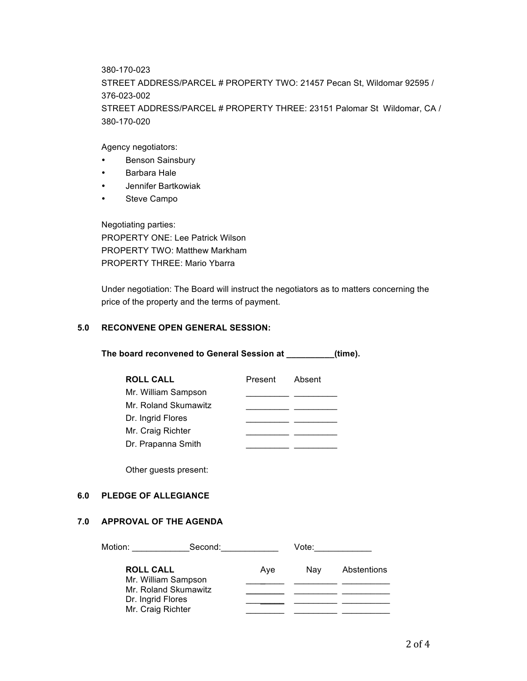380-170-023

STREET ADDRESS/PARCEL # PROPERTY TWO: 21457 Pecan St, Wildomar 92595 / 376-023-002 STREET ADDRESS/PARCEL # PROPERTY THREE: 23151 Palomar St Wildomar, CA / 380-170-020

Agency negotiators:

- Benson Sainsbury
- Barbara Hale
- Jennifer Bartkowiak
- Steve Campo

Negotiating parties: PROPERTY ONE: Lee Patrick Wilson PROPERTY TWO: Matthew Markham PROPERTY THREE: Mario Ybarra

Under negotiation: The Board will instruct the negotiators as to matters concerning the price of the property and the terms of payment.

# **5.0 RECONVENE OPEN GENERAL SESSION:**

**The board reconvened to General Session at \_\_\_\_\_\_\_\_\_\_(time).**

| <b>ROLL CALL</b>     | Present Absent |  |
|----------------------|----------------|--|
| Mr. William Sampson  |                |  |
| Mr. Roland Skumawitz |                |  |
| Dr. Ingrid Flores    |                |  |
| Mr. Craig Richter    |                |  |
| Dr. Prapanna Smith   |                |  |

Other guests present:

### **6.0 PLEDGE OF ALLEGIANCE**

## **7.0 APPROVAL OF THE AGENDA**

| Motion:<br>Second: |                                             | Vote: |     |             |
|--------------------|---------------------------------------------|-------|-----|-------------|
| <b>ROLL CALL</b>   |                                             | Ave   | Nav | Abstentions |
|                    | Mr. William Sampson<br>Mr. Roland Skumawitz |       |     |             |
|                    | Dr. Ingrid Flores                           |       |     |             |
|                    | Mr. Craig Richter                           |       |     |             |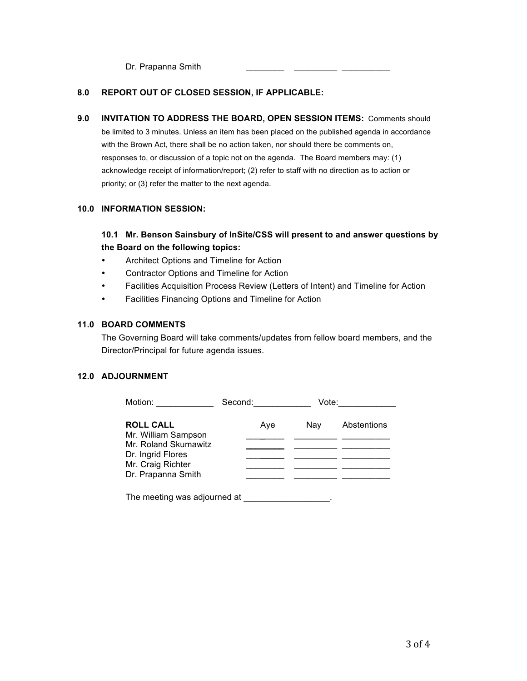Dr. Prapanna Smith

### **8.0 REPORT OUT OF CLOSED SESSION, IF APPLICABLE:**

**9.0 INVITATION TO ADDRESS THE BOARD, OPEN SESSION ITEMS:** Comments should be limited to 3 minutes. Unless an item has been placed on the published agenda in accordance with the Brown Act, there shall be no action taken, nor should there be comments on, responses to, or discussion of a topic not on the agenda. The Board members may: (1) acknowledge receipt of information/report; (2) refer to staff with no direction as to action or priority; or (3) refer the matter to the next agenda.

### **10.0 INFORMATION SESSION:**

# **10.1 Mr. Benson Sainsbury of InSite/CSS will present to and answer questions by the Board on the following topics:**

- Architect Options and Timeline for Action
- Contractor Options and Timeline for Action
- Facilities Acquisition Process Review (Letters of Intent) and Timeline for Action
- Facilities Financing Options and Timeline for Action

### **11.0 BOARD COMMENTS**

The Governing Board will take comments/updates from fellow board members, and the Director/Principal for future agenda issues.

## **12.0 ADJOURNMENT**

| Motion:                                                                                                                         | Second: <b>Second</b> | Vote: |             |  |
|---------------------------------------------------------------------------------------------------------------------------------|-----------------------|-------|-------------|--|
| <b>ROLL CALL</b><br>Mr. William Sampson<br>Mr. Roland Skumawitz<br>Dr. Ingrid Flores<br>Mr. Craig Richter<br>Dr. Prapanna Smith | Aye                   | Nav   | Abstentions |  |
| The meeting was adjourned at                                                                                                    |                       |       |             |  |